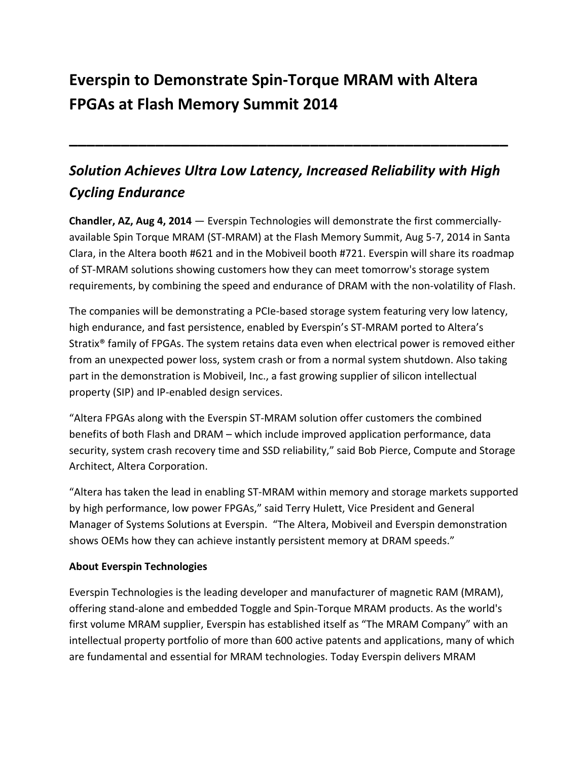# **Everspin to Demonstrate Spin-Torque MRAM with Altera FPGAs at Flash Memory Summit 2014**

## *Solution Achieves Ultra Low Latency, Increased Reliability with High Cycling Endurance*

**\_\_\_\_\_\_\_\_\_\_\_\_\_\_\_\_\_\_\_\_\_\_\_\_\_\_\_\_\_\_\_\_\_\_\_\_\_\_\_\_\_\_\_\_\_\_\_\_\_\_\_**

**Chandler, AZ, Aug 4, 2014** — Everspin Technologies will demonstrate the first commerciallyavailable Spin Torque MRAM (ST-MRAM) at the Flash Memory Summit, Aug 5-7, 2014 in Santa Clara, in the Altera booth #621 and in the Mobiveil booth #721. Everspin will share its roadmap of ST-MRAM solutions showing customers how they can meet tomorrow's storage system requirements, by combining the speed and endurance of DRAM with the non-volatility of Flash.

The companies will be demonstrating a PCIe-based storage system featuring very low latency, high endurance, and fast persistence, enabled by Everspin's ST-MRAM ported to Altera's Stratix® family of FPGAs. The system retains data even when electrical power is removed either from an unexpected power loss, system crash or from a normal system shutdown. Also taking part in the demonstration is Mobiveil, Inc., a fast growing supplier of silicon intellectual property (SIP) and IP-enabled design services.

"Altera FPGAs along with the Everspin ST-MRAM solution offer customers the combined benefits of both Flash and DRAM – which include improved application performance, data security, system crash recovery time and SSD reliability," said Bob Pierce, Compute and Storage Architect, Altera Corporation.

"Altera has taken the lead in enabling ST-MRAM within memory and storage markets supported by high performance, low power FPGAs," said Terry Hulett, Vice President and General Manager of Systems Solutions at Everspin. "The Altera, Mobiveil and Everspin demonstration shows OEMs how they can achieve instantly persistent memory at DRAM speeds."

### **About Everspin Technologies**

Everspin Technologies is the leading developer and manufacturer of magnetic RAM (MRAM), offering stand-alone and embedded Toggle and Spin-Torque MRAM products. As the world's first volume MRAM supplier, Everspin has established itself as "The MRAM Company" with an intellectual property portfolio of more than 600 active patents and applications, many of which are fundamental and essential for MRAM technologies. Today Everspin delivers MRAM